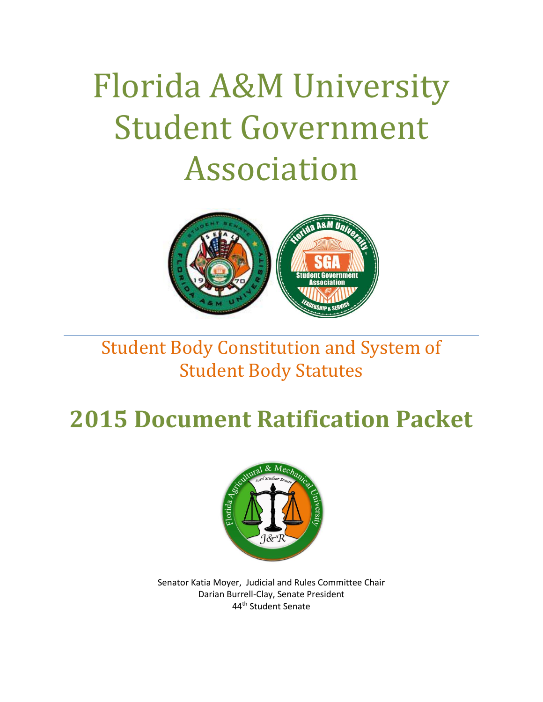# Florida A&M University Student Government Association



# Student Body Constitution and System of Student Body Statutes

# **2015 Document Ratification Packet**



Senator Katia Moyer, Judicial and Rules Committee Chair Darian Burrell-Clay, Senate President 44th Student Senate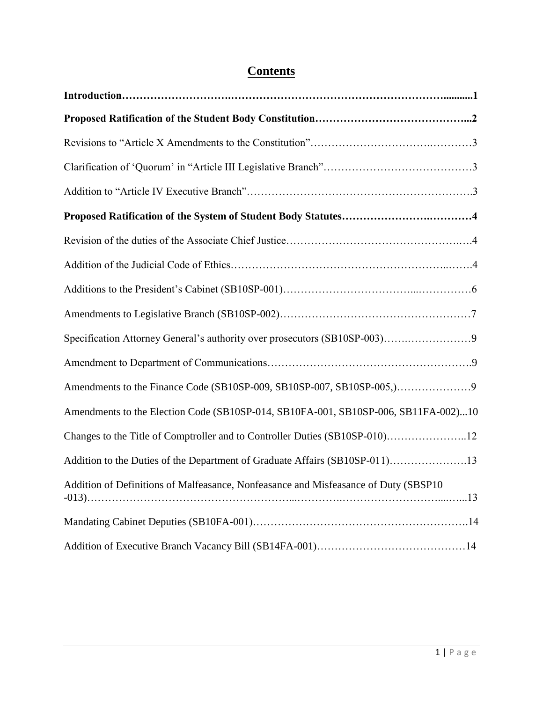### **Contents**

| Amendments to the Election Code (SB10SP-014, SB10FA-001, SB10SP-006, SB11FA-002)10  |
|-------------------------------------------------------------------------------------|
| Changes to the Title of Comptroller and to Controller Duties (SB10SP-010)12         |
| Addition to the Duties of the Department of Graduate Affairs (SB10SP-011)13         |
| Addition of Definitions of Malfeasance, Nonfeasance and Misfeasance of Duty (SBSP10 |
|                                                                                     |
|                                                                                     |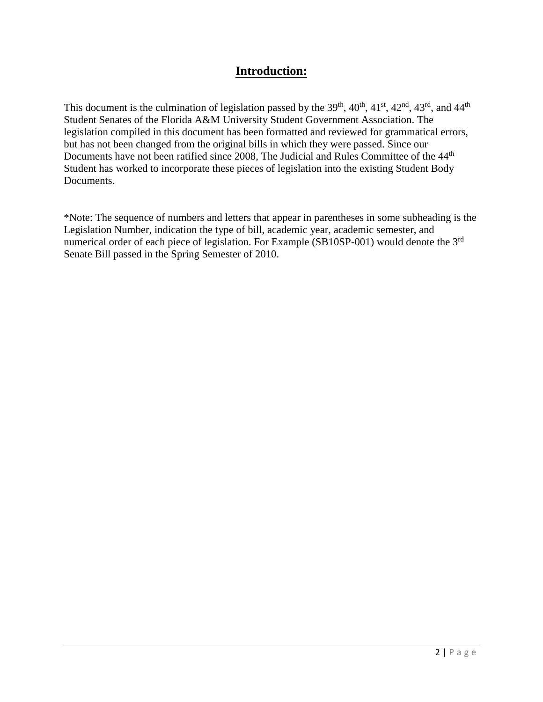#### **Introduction:**

This document is the culmination of legislation passed by the  $39<sup>th</sup>$ ,  $40<sup>th</sup>$ ,  $41<sup>st</sup>$ ,  $42<sup>nd</sup>$ ,  $43<sup>rd</sup>$ , and  $44<sup>th</sup>$ Student Senates of the Florida A&M University Student Government Association. The legislation compiled in this document has been formatted and reviewed for grammatical errors, but has not been changed from the original bills in which they were passed. Since our Documents have not been ratified since 2008, The Judicial and Rules Committee of the 44<sup>th</sup> Student has worked to incorporate these pieces of legislation into the existing Student Body Documents.

\*Note: The sequence of numbers and letters that appear in parentheses in some subheading is the Legislation Number, indication the type of bill, academic year, academic semester, and numerical order of each piece of legislation. For Example (SB10SP-001) would denote the 3<sup>rd</sup> Senate Bill passed in the Spring Semester of 2010.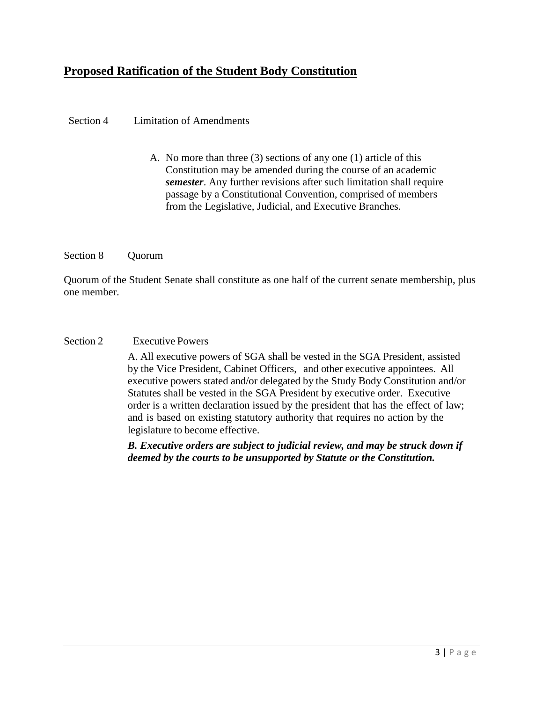#### **Proposed Ratification of the Student Body Constitution**

#### Section 4 Limitation of Amendments

A. No more than three (3) sections of any one (1) article of this Constitution may be amended during the course of an academic *semester*. Any further revisions after such limitation shall require passage by a Constitutional Convention, comprised of members from the Legislative, Judicial, and Executive Branches.

#### Section 8 Quorum

Quorum of the Student Senate shall constitute as one half of the current senate membership, plus one member.

#### Section 2 Executive Powers

A. All executive powers of SGA shall be vested in the SGA President, assisted by the Vice President, Cabinet Officers, and other executive appointees. All executive powers stated and/or delegated by the Study Body Constitution and/or Statutes shall be vested in the SGA President by executive order. Executive order is a written declaration issued by the president that has the effect of law; and is based on existing statutory authority that requires no action by the legislature to become effective.

*B. Executive orders are subject to judicial review, and may be struck down if deemed by the courts to be unsupported by Statute or the Constitution.*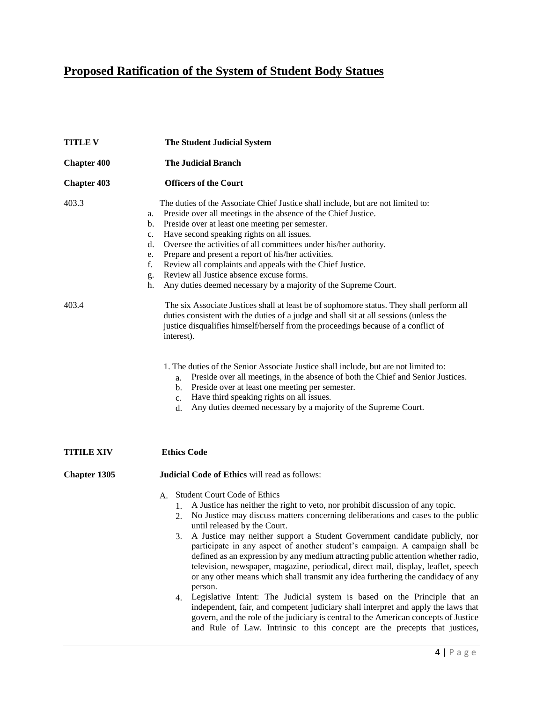## **Proposed Ratification of the System of Student Body Statues**

| <b>TITLE V</b>      | <b>The Student Judicial System</b>                                                                                                                                                                                                                                                                                                                                                                                                                                                                                                                                                                                                                                                                                                                                                                                                                                                                                                                                                                                                                |
|---------------------|---------------------------------------------------------------------------------------------------------------------------------------------------------------------------------------------------------------------------------------------------------------------------------------------------------------------------------------------------------------------------------------------------------------------------------------------------------------------------------------------------------------------------------------------------------------------------------------------------------------------------------------------------------------------------------------------------------------------------------------------------------------------------------------------------------------------------------------------------------------------------------------------------------------------------------------------------------------------------------------------------------------------------------------------------|
| <b>Chapter 400</b>  | <b>The Judicial Branch</b>                                                                                                                                                                                                                                                                                                                                                                                                                                                                                                                                                                                                                                                                                                                                                                                                                                                                                                                                                                                                                        |
| <b>Chapter 403</b>  | <b>Officers of the Court</b>                                                                                                                                                                                                                                                                                                                                                                                                                                                                                                                                                                                                                                                                                                                                                                                                                                                                                                                                                                                                                      |
| 403.3               | The duties of the Associate Chief Justice shall include, but are not limited to:<br>Preside over all meetings in the absence of the Chief Justice.<br>a.<br>Preside over at least one meeting per semester.<br>b.<br>Have second speaking rights on all issues.<br>c.<br>Oversee the activities of all committees under his/her authority.<br>d.<br>Prepare and present a report of his/her activities.<br>e.<br>f.<br>Review all complaints and appeals with the Chief Justice.<br>Review all Justice absence excuse forms.<br>g.<br>Any duties deemed necessary by a majority of the Supreme Court.<br>h.                                                                                                                                                                                                                                                                                                                                                                                                                                       |
| 403.4               | The six Associate Justices shall at least be of sophomore status. They shall perform all<br>duties consistent with the duties of a judge and shall sit at all sessions (unless the<br>justice disqualifies himself/herself from the proceedings because of a conflict of<br>interest).                                                                                                                                                                                                                                                                                                                                                                                                                                                                                                                                                                                                                                                                                                                                                            |
|                     | 1. The duties of the Senior Associate Justice shall include, but are not limited to:<br>Preside over all meetings, in the absence of both the Chief and Senior Justices.<br>a.<br>Preside over at least one meeting per semester.<br>b.<br>Have third speaking rights on all issues.<br>c.<br>Any duties deemed necessary by a majority of the Supreme Court.<br>d.                                                                                                                                                                                                                                                                                                                                                                                                                                                                                                                                                                                                                                                                               |
| <b>TITILE XIV</b>   | <b>Ethics Code</b>                                                                                                                                                                                                                                                                                                                                                                                                                                                                                                                                                                                                                                                                                                                                                                                                                                                                                                                                                                                                                                |
| <b>Chapter 1305</b> | <b>Judicial Code of Ethics will read as follows:</b>                                                                                                                                                                                                                                                                                                                                                                                                                                                                                                                                                                                                                                                                                                                                                                                                                                                                                                                                                                                              |
|                     | <b>Student Court Code of Ethics</b><br>А.<br>A Justice has neither the right to veto, nor prohibit discussion of any topic.<br>1.<br>No Justice may discuss matters concerning deliberations and cases to the public<br>2.<br>until released by the Court.<br>A Justice may neither support a Student Government candidate publicly, nor<br>participate in any aspect of another student's campaign. A campaign shall be<br>defined as an expression by any medium attracting public attention whether radio,<br>television, newspaper, magazine, periodical, direct mail, display, leaflet, speech<br>or any other means which shall transmit any idea furthering the candidacy of any<br>person.<br>Legislative Intent: The Judicial system is based on the Principle that an<br>4.<br>independent, fair, and competent judiciary shall interpret and apply the laws that<br>govern, and the role of the judiciary is central to the American concepts of Justice<br>and Rule of Law. Intrinsic to this concept are the precepts that justices, |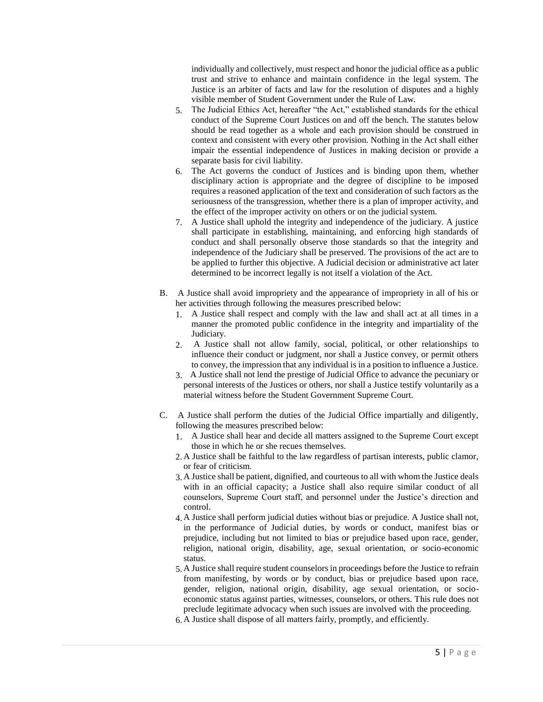individually and collectively, must respect and honor the judicial office as a public trust and strive to enhance and maintain confidence in the legal system. The Justice is an arbiter of facts and law for the resolution of disputes and a highly visible member of Student Government under the Rule of Law.

- 5. The Judicial Ethics Act, hereafter "the Act," established standards for the ethical conduct of the Supreme Court Justices on and off the bench. The statutes below should be read together as a whole and each provision should be construed in context and consistent with every other provision. Nothing in the Act shall either impair the essential independence of Justices in making decision or provide a separate basis for civil liability.
- 6. The Act governs the conduct of Justices and is binding upon them, whether disciplinary action is appropriate and the degree of discipline to be imposed requires a reasoned application of the text and consideration of such factors as the seriousness of the transgression, whether there is a plan of improper activity, and the effect of the improper activity on others or on the judicial system.
- 7. A Justice shall uphold the integrity and independence of the judiciary. A justice shall participate in establishing, maintaining, and enforcing high standards of conduct and shall personally observe those standards so that the integrity and independence of the Judiciary shall be preserved. The provisions of the act are to be applied to further this objective. A Judicial decision or administrative act later determined to be incorrect legally is not itself a violation of the Act.
- B. A Justice shall avoid impropriety and the appearance of impropriety in all of his or her activities through following the measures prescribed below:
	- 1. A Justice shall respect and comply with the law and shall act at all times in a manner the promoted public confidence in the integrity and impartiality of the Judiciary.
	- 2. A Justice shall not allow family, social, political, or other relationships to influence their conduct or judgment, nor shall a Justice convey, or permit others to convey, the impression that any individual is in a position to influence a Justice.
	- 3. A Justice shall not lend the prestige of Judicial Office to advance the pecuniary or personal interests of the Justices or others, nor shall a Justice testify voluntarily as a material witness before the Student Government Supreme Court.
- C. A Justice shall perform the duties of the Judicial Office impartially and diligently, following the measures prescribed below:
	- 1. A Justice shall hear and decide all matters assigned to the Supreme Court except those in which he or she recues themselves.
	- 2. A Justice shall be faithful to the law regardless of partisan interests, public clamor, or fear of criticism.
	- 3. A Justice shall be patient, dignified, and courteous to all with whom the Justice deals with in an official capacity; a Justice shall also require similar conduct of all counselors, Supreme Court staff, and personnel under the Justice's direction and control.
	- 4. A Justice shall perform judicial duties without bias or prejudice. A Justice shall not, in the performance of Judicial duties, by words or conduct, manifest bias or prejudice, including but not limited to bias or prejudice based upon race, gender, religion, national origin, disability, age, sexual orientation, or socio-economic status.
	- 5. A Justice shall require student counselors in proceedings before the Justice to refrain from manifesting, by words or by conduct, bias or prejudice based upon race, gender, religion, national origin, disability, age sexual orientation, or socioeconomic status against parties, witnesses, counselors, or others. This rule does not preclude legitimate advocacy when such issues are involved with the proceeding.
	- 6. A Justice shall dispose of all matters fairly, promptly, and efficiently.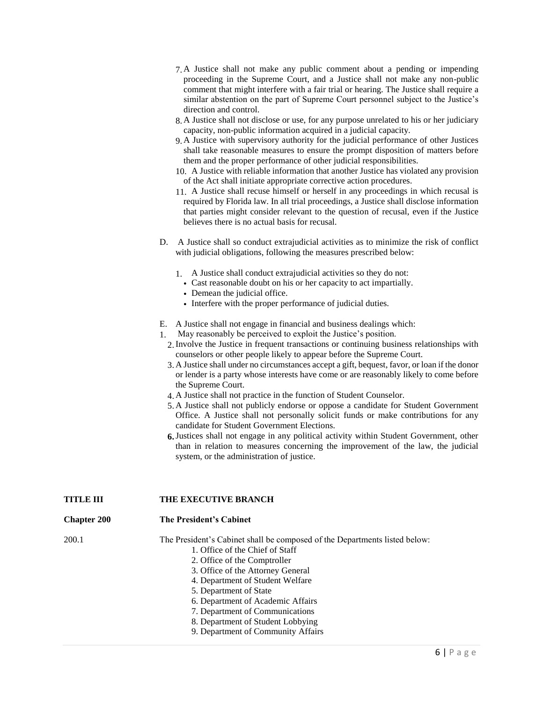- 7. A Justice shall not make any public comment about a pending or impending proceeding in the Supreme Court, and a Justice shall not make any non-public comment that might interfere with a fair trial or hearing. The Justice shall require a similar abstention on the part of Supreme Court personnel subject to the Justice's direction and control.
- 8. A Justice shall not disclose or use, for any purpose unrelated to his or her judiciary capacity, non-public information acquired in a judicial capacity.
- 9. A Justice with supervisory authority for the judicial performance of other Justices shall take reasonable measures to ensure the prompt disposition of matters before them and the proper performance of other judicial responsibilities.
- 10. A Justice with reliable information that another Justice has violated any provision of the Act shall initiate appropriate corrective action procedures.
- 11. A Justice shall recuse himself or herself in any proceedings in which recusal is required by Florida law. In all trial proceedings, a Justice shall disclose information that parties might consider relevant to the question of recusal, even if the Justice believes there is no actual basis for recusal.
- D. A Justice shall so conduct extrajudicial activities as to minimize the risk of conflict with judicial obligations, following the measures prescribed below:
	- 1. A Justice shall conduct extrajudicial activities so they do not:
		- Cast reasonable doubt on his or her capacity to act impartially.
		- Demean the judicial office.
		- Interfere with the proper performance of judicial duties.
- E. A Justice shall not engage in financial and business dealings which:
- 1. May reasonably be perceived to exploit the Justice's position.
	- 2.Involve the Justice in frequent transactions or continuing business relationships with counselors or other people likely to appear before the Supreme Court.
	- 3. A Justice shall under no circumstances accept a gift, bequest, favor, or loan if the donor or lender is a party whose interests have come or are reasonably likely to come before the Supreme Court.
	- 4. A Justice shall not practice in the function of Student Counselor.
	- 5. A Justice shall not publicly endorse or oppose a candidate for Student Government Office. A Justice shall not personally solicit funds or make contributions for any candidate for Student Government Elections.
	- **6.**Justices shall not engage in any political activity within Student Government, other than in relation to measures concerning the improvement of the law, the judicial system, or the administration of justice.

#### **TITLE III THE EXECUTIVE BRANCH**

| <b>Chapter 200</b> | The President's Cabinet |
|--------------------|-------------------------|
|--------------------|-------------------------|

- 
- 200.1 The President's Cabinet shall be composed of the Departments listed below:
	- 1. Office of the Chief of Staff
		- 2. Office of the Comptroller
		- 3. Office of the Attorney General
		- 4. Department of Student Welfare
		- 5. Department of State
		- 6. Department of Academic Affairs
		- 7. Department of Communications
		- 8. Department of Student Lobbying
		- 9. Department of Community Affairs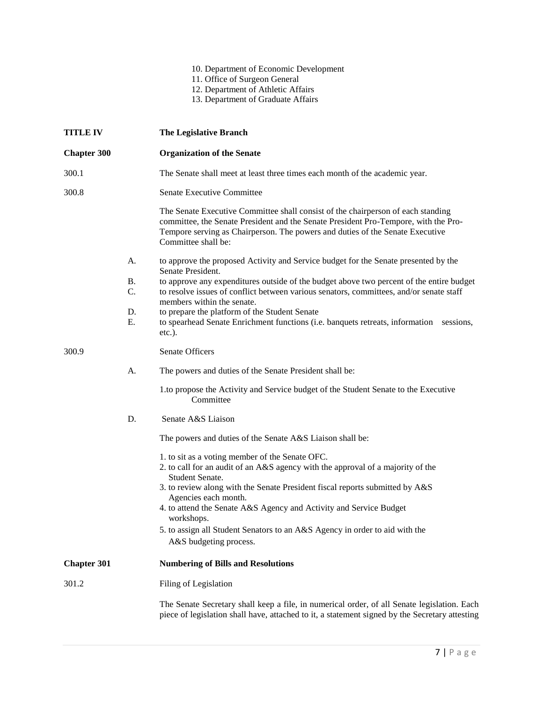#### 10. Department of Economic Development

- 11. Office of Surgeon General
- 12. Department of Athletic Affairs
- 13. Department of Graduate Affairs

| <b>TITLE IV</b>    |                             | <b>The Legislative Branch</b>                                                                                                                                                                                                                                                                                                                                    |
|--------------------|-----------------------------|------------------------------------------------------------------------------------------------------------------------------------------------------------------------------------------------------------------------------------------------------------------------------------------------------------------------------------------------------------------|
| <b>Chapter 300</b> |                             | <b>Organization of the Senate</b>                                                                                                                                                                                                                                                                                                                                |
| 300.1              |                             | The Senate shall meet at least three times each month of the academic year.                                                                                                                                                                                                                                                                                      |
| 300.8              |                             | Senate Executive Committee                                                                                                                                                                                                                                                                                                                                       |
|                    |                             | The Senate Executive Committee shall consist of the chairperson of each standing<br>committee, the Senate President and the Senate President Pro-Tempore, with the Pro-<br>Tempore serving as Chairperson. The powers and duties of the Senate Executive<br>Committee shall be:                                                                                  |
|                    | A.                          | to approve the proposed Activity and Service budget for the Senate presented by the<br>Senate President.                                                                                                                                                                                                                                                         |
|                    | <b>B.</b><br>C.<br>D.<br>Е. | to approve any expenditures outside of the budget above two percent of the entire budget<br>to resolve issues of conflict between various senators, committees, and/or senate staff<br>members within the senate.<br>to prepare the platform of the Student Senate<br>to spearhead Senate Enrichment functions (i.e. banquets retreats, information<br>sessions, |
|                    |                             | $etc.$ ).                                                                                                                                                                                                                                                                                                                                                        |
| 300.9              |                             | Senate Officers                                                                                                                                                                                                                                                                                                                                                  |
|                    | A.                          | The powers and duties of the Senate President shall be:                                                                                                                                                                                                                                                                                                          |
|                    |                             | 1.to propose the Activity and Service budget of the Student Senate to the Executive<br>Committee                                                                                                                                                                                                                                                                 |
|                    | D.                          | Senate A&S Liaison                                                                                                                                                                                                                                                                                                                                               |
|                    |                             | The powers and duties of the Senate A&S Liaison shall be:                                                                                                                                                                                                                                                                                                        |
|                    |                             | 1. to sit as a voting member of the Senate OFC.<br>2. to call for an audit of an A&S agency with the approval of a majority of the<br>Student Senate.                                                                                                                                                                                                            |
|                    |                             | 3. to review along with the Senate President fiscal reports submitted by A&S                                                                                                                                                                                                                                                                                     |
|                    |                             | Agencies each month.<br>4. to attend the Senate A&S Agency and Activity and Service Budget<br>workshops.                                                                                                                                                                                                                                                         |
|                    |                             | 5. to assign all Student Senators to an A&S Agency in order to aid with the<br>A&S budgeting process.                                                                                                                                                                                                                                                            |
| <b>Chapter 301</b> |                             | <b>Numbering of Bills and Resolutions</b>                                                                                                                                                                                                                                                                                                                        |
| 301.2              |                             | Filing of Legislation                                                                                                                                                                                                                                                                                                                                            |
|                    |                             | The Senate Secretary shall keep a file, in numerical order, of all Senate legislation. Each<br>piece of legislation shall have, attached to it, a statement signed by the Secretary attesting                                                                                                                                                                    |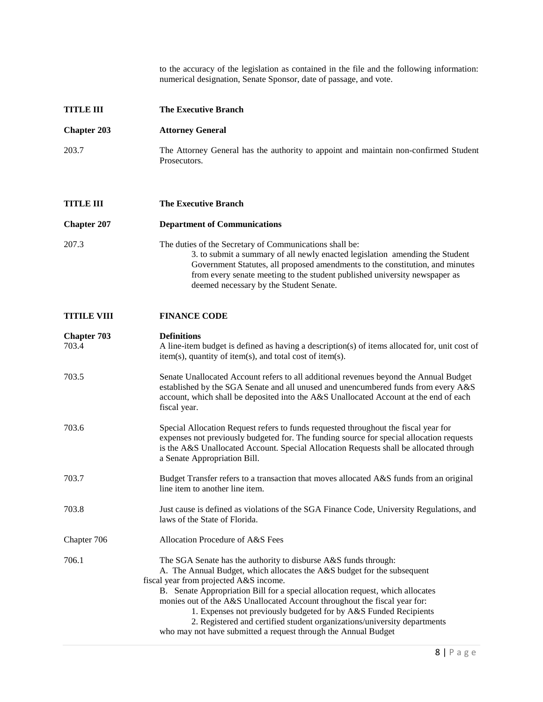to the accuracy of the legislation as contained in the file and the following information: numerical designation, Senate Sponsor, date of passage, and vote.

| <b>TITLE III</b>            | <b>The Executive Branch</b>                                                                                                                                                                                                                                                                                                                                                                                                                                                                                                                                           |
|-----------------------------|-----------------------------------------------------------------------------------------------------------------------------------------------------------------------------------------------------------------------------------------------------------------------------------------------------------------------------------------------------------------------------------------------------------------------------------------------------------------------------------------------------------------------------------------------------------------------|
| <b>Chapter 203</b>          | <b>Attorney General</b>                                                                                                                                                                                                                                                                                                                                                                                                                                                                                                                                               |
| 203.7                       | The Attorney General has the authority to appoint and maintain non-confirmed Student<br>Prosecutors.                                                                                                                                                                                                                                                                                                                                                                                                                                                                  |
| <b>TITLE III</b>            | <b>The Executive Branch</b>                                                                                                                                                                                                                                                                                                                                                                                                                                                                                                                                           |
| <b>Chapter 207</b>          | <b>Department of Communications</b>                                                                                                                                                                                                                                                                                                                                                                                                                                                                                                                                   |
| 207.3                       | The duties of the Secretary of Communications shall be:<br>3. to submit a summary of all newly enacted legislation amending the Student<br>Government Statutes, all proposed amendments to the constitution, and minutes<br>from every senate meeting to the student published university newspaper as<br>deemed necessary by the Student Senate.                                                                                                                                                                                                                     |
| <b>TITILE VIII</b>          | <b>FINANCE CODE</b>                                                                                                                                                                                                                                                                                                                                                                                                                                                                                                                                                   |
| <b>Chapter 703</b><br>703.4 | <b>Definitions</b><br>A line-item budget is defined as having a description(s) of items allocated for, unit cost of<br>$item(s)$ , quantity of item(s), and total cost of item(s).                                                                                                                                                                                                                                                                                                                                                                                    |
| 703.5                       | Senate Unallocated Account refers to all additional revenues beyond the Annual Budget<br>established by the SGA Senate and all unused and unencumbered funds from every A&S<br>account, which shall be deposited into the A&S Unallocated Account at the end of each<br>fiscal year.                                                                                                                                                                                                                                                                                  |
| 703.6                       | Special Allocation Request refers to funds requested throughout the fiscal year for<br>expenses not previously budgeted for. The funding source for special allocation requests<br>is the A&S Unallocated Account. Special Allocation Requests shall be allocated through<br>a Senate Appropriation Bill.                                                                                                                                                                                                                                                             |
| 703.7                       | Budget Transfer refers to a transaction that moves allocated A&S funds from an original<br>line item to another line item.                                                                                                                                                                                                                                                                                                                                                                                                                                            |
| 703.8                       | Just cause is defined as violations of the SGA Finance Code, University Regulations, and<br>laws of the State of Florida.                                                                                                                                                                                                                                                                                                                                                                                                                                             |
| Chapter 706                 | Allocation Procedure of A&S Fees                                                                                                                                                                                                                                                                                                                                                                                                                                                                                                                                      |
| 706.1                       | The SGA Senate has the authority to disburse A&S funds through:<br>A. The Annual Budget, which allocates the A&S budget for the subsequent<br>fiscal year from projected A&S income.<br>B. Senate Appropriation Bill for a special allocation request, which allocates<br>monies out of the A&S Unallocated Account throughout the fiscal year for:<br>1. Expenses not previously budgeted for by A&S Funded Recipients<br>2. Registered and certified student organizations/university departments<br>who may not have submitted a request through the Annual Budget |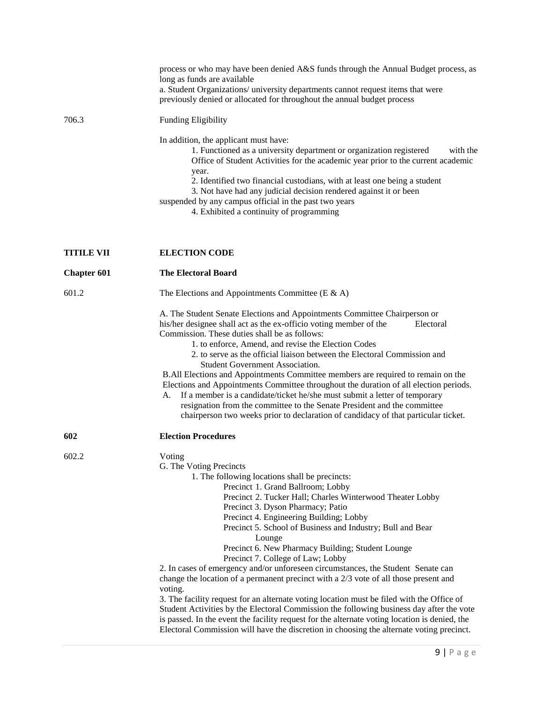|                    | process or who may have been denied A&S funds through the Annual Budget process, as<br>long as funds are available<br>a. Student Organizations/ university departments cannot request items that were<br>previously denied or allocated for throughout the annual budget process                                                                                                                                                                                                                                                                                                                                                                                                                                                                                                                                                                                                                                                                                                                                     |
|--------------------|----------------------------------------------------------------------------------------------------------------------------------------------------------------------------------------------------------------------------------------------------------------------------------------------------------------------------------------------------------------------------------------------------------------------------------------------------------------------------------------------------------------------------------------------------------------------------------------------------------------------------------------------------------------------------------------------------------------------------------------------------------------------------------------------------------------------------------------------------------------------------------------------------------------------------------------------------------------------------------------------------------------------|
| 706.3              | <b>Funding Eligibility</b>                                                                                                                                                                                                                                                                                                                                                                                                                                                                                                                                                                                                                                                                                                                                                                                                                                                                                                                                                                                           |
|                    | In addition, the applicant must have:<br>1. Functioned as a university department or organization registered<br>with the<br>Office of Student Activities for the academic year prior to the current academic<br>year.<br>2. Identified two financial custodians, with at least one being a student<br>3. Not have had any judicial decision rendered against it or been<br>suspended by any campus official in the past two years<br>4. Exhibited a continuity of programming                                                                                                                                                                                                                                                                                                                                                                                                                                                                                                                                        |
| <b>TITILE VII</b>  | <b>ELECTION CODE</b>                                                                                                                                                                                                                                                                                                                                                                                                                                                                                                                                                                                                                                                                                                                                                                                                                                                                                                                                                                                                 |
| <b>Chapter 601</b> | <b>The Electoral Board</b>                                                                                                                                                                                                                                                                                                                                                                                                                                                                                                                                                                                                                                                                                                                                                                                                                                                                                                                                                                                           |
| 601.2              | The Elections and Appointments Committee (E & A)                                                                                                                                                                                                                                                                                                                                                                                                                                                                                                                                                                                                                                                                                                                                                                                                                                                                                                                                                                     |
|                    | A. The Student Senate Elections and Appointments Committee Chairperson or<br>his/her designee shall act as the ex-officio voting member of the<br>Electoral<br>Commission. These duties shall be as follows:<br>1. to enforce, Amend, and revise the Election Codes<br>2. to serve as the official liaison between the Electoral Commission and<br><b>Student Government Association.</b><br>B.All Elections and Appointments Committee members are required to remain on the<br>Elections and Appointments Committee throughout the duration of all election periods.<br>If a member is a candidate/ticket he/she must submit a letter of temporary<br>А.<br>resignation from the committee to the Senate President and the committee<br>chairperson two weeks prior to declaration of candidacy of that particular ticket.                                                                                                                                                                                         |
| 602                | <b>Election Procedures</b>                                                                                                                                                                                                                                                                                                                                                                                                                                                                                                                                                                                                                                                                                                                                                                                                                                                                                                                                                                                           |
| 602.2              | Voting<br>G. The Voting Precincts<br>1. The following locations shall be precincts:<br>Precinct 1. Grand Ballroom; Lobby<br>Precinct 2. Tucker Hall; Charles Winterwood Theater Lobby<br>Precinct 3. Dyson Pharmacy; Patio<br>Precinct 4. Engineering Building; Lobby<br>Precinct 5. School of Business and Industry; Bull and Bear<br>Lounge<br>Precinct 6. New Pharmacy Building; Student Lounge<br>Precinct 7. College of Law; Lobby<br>2. In cases of emergency and/or unforeseen circumstances, the Student Senate can<br>change the location of a permanent precinct with a 2/3 vote of all those present and<br>voting.<br>3. The facility request for an alternate voting location must be filed with the Office of<br>Student Activities by the Electoral Commission the following business day after the vote<br>is passed. In the event the facility request for the alternate voting location is denied, the<br>Electoral Commission will have the discretion in choosing the alternate voting precinct. |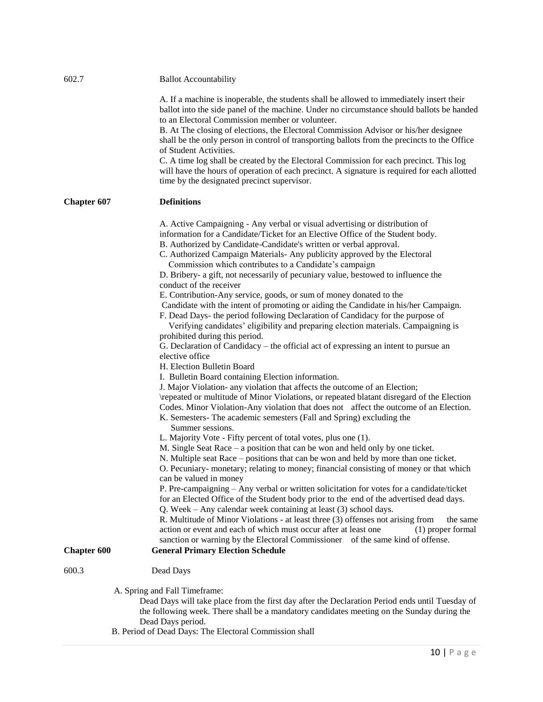| 602.7              | <b>Ballot Accountability</b>                                                                                                                                                                                                                                                                                                                                                                                                                                                                                                                                                                                                                                                                                                                                                                                                                                                                                                                                                                                                                                                                                                                                                                                                                                                                                                                                                                                                                                                                                                                                                                                                                                                                                                                                                                                                                                                                                                                                                                                                                                                                                                                                                                                                                                                                                                                                                   |
|--------------------|--------------------------------------------------------------------------------------------------------------------------------------------------------------------------------------------------------------------------------------------------------------------------------------------------------------------------------------------------------------------------------------------------------------------------------------------------------------------------------------------------------------------------------------------------------------------------------------------------------------------------------------------------------------------------------------------------------------------------------------------------------------------------------------------------------------------------------------------------------------------------------------------------------------------------------------------------------------------------------------------------------------------------------------------------------------------------------------------------------------------------------------------------------------------------------------------------------------------------------------------------------------------------------------------------------------------------------------------------------------------------------------------------------------------------------------------------------------------------------------------------------------------------------------------------------------------------------------------------------------------------------------------------------------------------------------------------------------------------------------------------------------------------------------------------------------------------------------------------------------------------------------------------------------------------------------------------------------------------------------------------------------------------------------------------------------------------------------------------------------------------------------------------------------------------------------------------------------------------------------------------------------------------------------------------------------------------------------------------------------------------------|
|                    | A. If a machine is inoperable, the students shall be allowed to immediately insert their<br>ballot into the side panel of the machine. Under no circumstance should ballots be handed<br>to an Electoral Commission member or volunteer.<br>B. At The closing of elections, the Electoral Commission Advisor or his/her designee<br>shall be the only person in control of transporting ballots from the precincts to the Office<br>of Student Activities.                                                                                                                                                                                                                                                                                                                                                                                                                                                                                                                                                                                                                                                                                                                                                                                                                                                                                                                                                                                                                                                                                                                                                                                                                                                                                                                                                                                                                                                                                                                                                                                                                                                                                                                                                                                                                                                                                                                     |
|                    | C. A time log shall be created by the Electoral Commission for each precinct. This log<br>will have the hours of operation of each precinct. A signature is required for each allotted<br>time by the designated precinct supervisor.                                                                                                                                                                                                                                                                                                                                                                                                                                                                                                                                                                                                                                                                                                                                                                                                                                                                                                                                                                                                                                                                                                                                                                                                                                                                                                                                                                                                                                                                                                                                                                                                                                                                                                                                                                                                                                                                                                                                                                                                                                                                                                                                          |
| <b>Chapter 607</b> | <b>Definitions</b>                                                                                                                                                                                                                                                                                                                                                                                                                                                                                                                                                                                                                                                                                                                                                                                                                                                                                                                                                                                                                                                                                                                                                                                                                                                                                                                                                                                                                                                                                                                                                                                                                                                                                                                                                                                                                                                                                                                                                                                                                                                                                                                                                                                                                                                                                                                                                             |
| <b>Chapter 600</b> | A. Active Campaigning - Any verbal or visual advertising or distribution of<br>information for a Candidate/Ticket for an Elective Office of the Student body.<br>B. Authorized by Candidate-Candidate's written or verbal approval.<br>C. Authorized Campaign Materials- Any publicity approved by the Electoral<br>Commission which contributes to a Candidate's campaign<br>D. Bribery- a gift, not necessarily of pecuniary value, bestowed to influence the<br>conduct of the receiver<br>E. Contribution-Any service, goods, or sum of money donated to the<br>Candidate with the intent of promoting or aiding the Candidate in his/her Campaign.<br>F. Dead Days- the period following Declaration of Candidacy for the purpose of<br>Verifying candidates' eligibility and preparing election materials. Campaigning is<br>prohibited during this period.<br>G. Declaration of Candidacy – the official act of expressing an intent to pursue an<br>elective office<br>H. Election Bulletin Board<br>I. Bulletin Board containing Election information.<br>J. Major Violation- any violation that affects the outcome of an Election;<br>\repeated or multitude of Minor Violations, or repeated blatant disregard of the Election<br>Codes. Minor Violation-Any violation that does not affect the outcome of an Election.<br>K. Semesters-The academic semesters (Fall and Spring) excluding the<br>Summer sessions.<br>L. Majority Vote - Fifty percent of total votes, plus one (1).<br>M. Single Seat Race $-$ a position that can be won and held only by one ticket.<br>N. Multiple seat Race – positions that can be won and held by more than one ticket.<br>O. Pecuniary- monetary; relating to money; financial consisting of money or that which<br>can be valued in money<br>P. Pre-campaigning - Any verbal or written solicitation for votes for a candidate/ticket<br>for an Elected Office of the Student body prior to the end of the advertised dead days.<br>Q. Week – Any calendar week containing at least (3) school days.<br>R. Multitude of Minor Violations - at least three (3) offenses not arising from<br>the same<br>action or event and each of which must occur after at least one<br>(1) proper formal<br>sanction or warning by the Electoral Commissioner of the same kind of offense.<br><b>General Primary Election Schedule</b> |
| 600.3              | Dead Days                                                                                                                                                                                                                                                                                                                                                                                                                                                                                                                                                                                                                                                                                                                                                                                                                                                                                                                                                                                                                                                                                                                                                                                                                                                                                                                                                                                                                                                                                                                                                                                                                                                                                                                                                                                                                                                                                                                                                                                                                                                                                                                                                                                                                                                                                                                                                                      |
|                    | A. Spring and Fall Timeframe:<br>Dead Days will take place from the first day after the Declaration Period ends until Tuesday of<br>the following week. There shall be a mandatory candidates meeting on the Sunday during the<br>Dead Days period.<br>B. Period of Dead Days: The Electoral Commission shall                                                                                                                                                                                                                                                                                                                                                                                                                                                                                                                                                                                                                                                                                                                                                                                                                                                                                                                                                                                                                                                                                                                                                                                                                                                                                                                                                                                                                                                                                                                                                                                                                                                                                                                                                                                                                                                                                                                                                                                                                                                                  |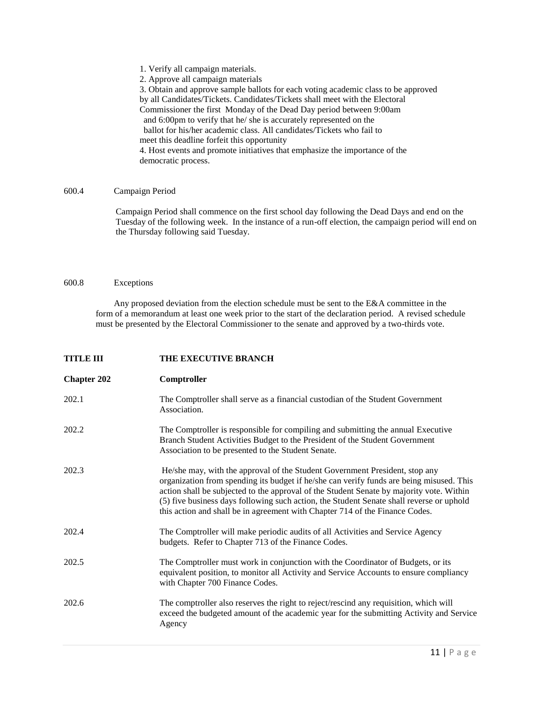1. Verify all campaign materials.

2. Approve all campaign materials

3. Obtain and approve sample ballots for each voting academic class to be approved by all Candidates/Tickets. Candidates/Tickets shall meet with the Electoral Commissioner the first Monday of the Dead Day period between 9:00am and 6:00pm to verify that he/ she is accurately represented on the ballot for his/her academic class. All candidates/Tickets who fail to meet this deadline forfeit this opportunity 4. Host events and promote initiatives that emphasize the importance of the democratic process.

#### 600.4 Campaign Period

Campaign Period shall commence on the first school day following the Dead Days and end on the Tuesday of the following week. In the instance of a run-off election, the campaign period will end on the Thursday following said Tuesday.

#### 600.8 Exceptions

Any proposed deviation from the election schedule must be sent to the E&A committee in the form of a memorandum at least one week prior to the start of the declaration period. A revised schedule must be presented by the Electoral Commissioner to the senate and approved by a two-thirds vote.

#### **TITLE III THE EXECUTIVE BRANCH**

| <b>Chapter 202</b> | Comptroller                                                                                                                                                                                                                                                                                                                                                                                                                                     |
|--------------------|-------------------------------------------------------------------------------------------------------------------------------------------------------------------------------------------------------------------------------------------------------------------------------------------------------------------------------------------------------------------------------------------------------------------------------------------------|
| 202.1              | The Comptroller shall serve as a financial custodian of the Student Government<br>Association.                                                                                                                                                                                                                                                                                                                                                  |
| 202.2              | The Comptroller is responsible for compiling and submitting the annual Executive<br>Branch Student Activities Budget to the President of the Student Government<br>Association to be presented to the Student Senate.                                                                                                                                                                                                                           |
| 202.3              | He/she may, with the approval of the Student Government President, stop any<br>organization from spending its budget if he/she can verify funds are being misused. This<br>action shall be subjected to the approval of the Student Senate by majority vote. Within<br>(5) five business days following such action, the Student Senate shall reverse or uphold<br>this action and shall be in agreement with Chapter 714 of the Finance Codes. |
| 202.4              | The Comptroller will make periodic audits of all Activities and Service Agency<br>budgets. Refer to Chapter 713 of the Finance Codes.                                                                                                                                                                                                                                                                                                           |
| 202.5              | The Comptroller must work in conjunction with the Coordinator of Budgets, or its<br>equivalent position, to monitor all Activity and Service Accounts to ensure compliancy<br>with Chapter 700 Finance Codes.                                                                                                                                                                                                                                   |
| 202.6              | The comptroller also reserves the right to reject/rescind any requisition, which will<br>exceed the budgeted amount of the academic year for the submitting Activity and Service<br>Agency                                                                                                                                                                                                                                                      |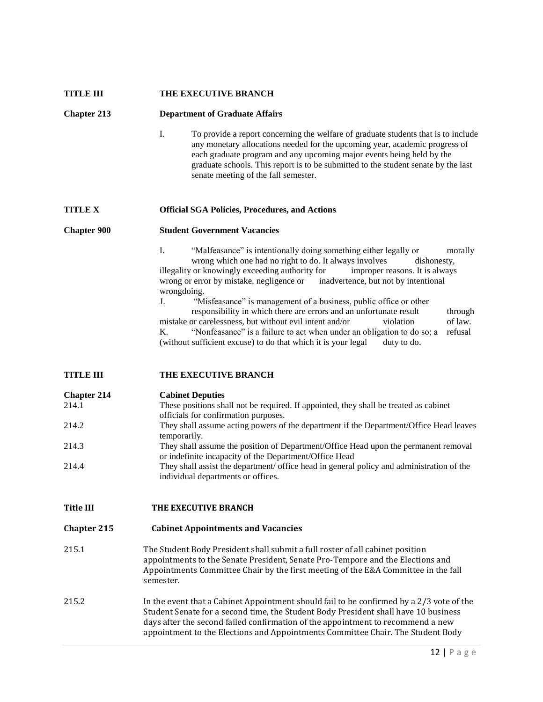| <b>TITLE III</b>           | THE EXECUTIVE BRANCH                                                                                                                                                                                                                                                                                                                                                                                                                                                                                                                                                                                                                                                                                                                                                           |
|----------------------------|--------------------------------------------------------------------------------------------------------------------------------------------------------------------------------------------------------------------------------------------------------------------------------------------------------------------------------------------------------------------------------------------------------------------------------------------------------------------------------------------------------------------------------------------------------------------------------------------------------------------------------------------------------------------------------------------------------------------------------------------------------------------------------|
| <b>Chapter 213</b>         | <b>Department of Graduate Affairs</b>                                                                                                                                                                                                                                                                                                                                                                                                                                                                                                                                                                                                                                                                                                                                          |
|                            | I.<br>To provide a report concerning the welfare of graduate students that is to include<br>any monetary allocations needed for the upcoming year, academic progress of<br>each graduate program and any upcoming major events being held by the<br>graduate schools. This report is to be submitted to the student senate by the last<br>senate meeting of the fall semester.                                                                                                                                                                                                                                                                                                                                                                                                 |
| <b>TITLE X</b>             | <b>Official SGA Policies, Procedures, and Actions</b>                                                                                                                                                                                                                                                                                                                                                                                                                                                                                                                                                                                                                                                                                                                          |
| <b>Chapter 900</b>         | <b>Student Government Vacancies</b>                                                                                                                                                                                                                                                                                                                                                                                                                                                                                                                                                                                                                                                                                                                                            |
|                            | L.<br>"Malfeasance" is intentionally doing something either legally or<br>morally<br>wrong which one had no right to do. It always involves<br>dishonesty.<br>illegality or knowingly exceeding authority for<br>improper reasons. It is always<br>wrong or error by mistake, negligence or inadvertence, but not by intentional<br>wrongdoing.<br>"Misfeasance" is management of a business, public office or other<br>$J_{-}$<br>responsibility in which there are errors and an unfortunate result<br>through<br>of law.<br>mistake or carelessness, but without evil intent and/or<br>violation<br>K.<br>"Nonfeasance" is a failure to act when under an obligation to do so; a<br>refusal<br>(without sufficient excuse) to do that which it is your legal<br>duty to do. |
| <b>TITLE III</b>           | THE EXECUTIVE BRANCH                                                                                                                                                                                                                                                                                                                                                                                                                                                                                                                                                                                                                                                                                                                                                           |
| <b>Chapter 214</b><br>2141 | <b>Cabinet Deputies</b><br>These positions shall not be required. If envolved they shall be treated as sobject                                                                                                                                                                                                                                                                                                                                                                                                                                                                                                                                                                                                                                                                 |

| 214.1 | These positions shall not be required. If appointed, they shall be treated as cabinet     |
|-------|-------------------------------------------------------------------------------------------|
|       | officials for confirmation purposes.                                                      |
| 214.2 | They shall assume acting powers of the department if the Department/Office Head leaves    |
|       | temporarily.                                                                              |
| 214.3 | They shall assume the position of Department/Office Head upon the permanent removal       |
|       | or indefinite incapacity of the Department/Office Head                                    |
| 214.4 | They shall assist the department/ office head in general policy and administration of the |
|       | individual departments or offices.                                                        |

Title III THE EXECUTIVE BRANCH

#### **Chapter 215 Cabinet Appointments and Vacancies**

- 215.1 The Student Body President shall submit a full roster of all cabinet position appointments to the Senate President, Senate Pro-Tempore and the Elections and Appointments Committee Chair by the first meeting of the E&A Committee in the fall semester.
- 215.2 In the event that a Cabinet Appointment should fail to be confirmed by a 2/3 vote of the Student Senate for a second time, the Student Body President shall have 10 business days after the second failed confirmation of the appointment to recommend a new appointment to the Elections and Appointments Committee Chair. The Student Body